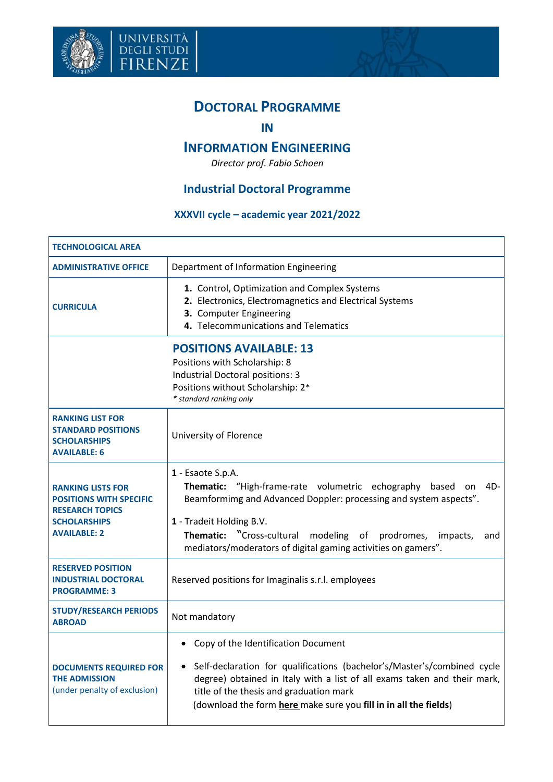

università<br>degli studi<br>FIRENZE



## **DOCTORAL PROGRAMME**

**IN**

## **INFORMATION ENGINEERING**

*Director prof. Fabio Schoen*

## **Industrial Doctoral Programme**

## **XXXVII cycle – academic year 2021/2022**

| <b>TECHNOLOGICAL AREA</b>                                                                                                                                           |                                                                                                                                                                                                                                                                                                                                      |  |
|---------------------------------------------------------------------------------------------------------------------------------------------------------------------|--------------------------------------------------------------------------------------------------------------------------------------------------------------------------------------------------------------------------------------------------------------------------------------------------------------------------------------|--|
| <b>ADMINISTRATIVE OFFICE</b>                                                                                                                                        | Department of Information Engineering                                                                                                                                                                                                                                                                                                |  |
| <b>CURRICULA</b>                                                                                                                                                    | 1. Control, Optimization and Complex Systems<br>2. Electronics, Electromagnetics and Electrical Systems<br>3. Computer Engineering<br>4. Telecommunications and Telematics                                                                                                                                                           |  |
| <b>POSITIONS AVAILABLE: 13</b><br>Positions with Scholarship: 8<br>Industrial Doctoral positions: 3<br>Positions without Scholarship: 2*<br>* standard ranking only |                                                                                                                                                                                                                                                                                                                                      |  |
| <b>RANKING LIST FOR</b><br><b>STANDARD POSITIONS</b><br><b>SCHOLARSHIPS</b><br><b>AVAILABLE: 6</b>                                                                  | University of Florence                                                                                                                                                                                                                                                                                                               |  |
| <b>RANKING LISTS FOR</b><br><b>POSITIONS WITH SPECIFIC</b><br><b>RESEARCH TOPICS</b><br><b>SCHOLARSHIPS</b><br><b>AVAILABLE: 2</b>                                  | 1 - Esaote S.p.A.<br>Thematic: "High-frame-rate volumetric echography<br>4D-<br>based<br>on<br>Beamformimg and Advanced Doppler: processing and system aspects".<br>1 - Tradeit Holding B.V.<br>Thematic: "Cross-cultural modeling of prodromes,<br>impacts,<br>and<br>mediators/moderators of digital gaming activities on gamers". |  |
| <b>RESERVED POSITION</b><br><b>INDUSTRIAL DOCTORAL</b><br><b>PROGRAMME: 3</b>                                                                                       | Reserved positions for Imaginalis s.r.l. employees                                                                                                                                                                                                                                                                                   |  |
| <b>STUDY/RESEARCH PERIODS</b><br><b>ABROAD</b>                                                                                                                      | Not mandatory                                                                                                                                                                                                                                                                                                                        |  |
| <b>DOCUMENTS REQUIRED FOR</b><br><b>THE ADMISSION</b><br>(under penalty of exclusion)                                                                               | Copy of the Identification Document<br>$\bullet$<br>Self-declaration for qualifications (bachelor's/Master's/combined cycle<br>$\bullet$<br>degree) obtained in Italy with a list of all exams taken and their mark,<br>title of the thesis and graduation mark<br>(download the form here make sure you fill in in all the fields)  |  |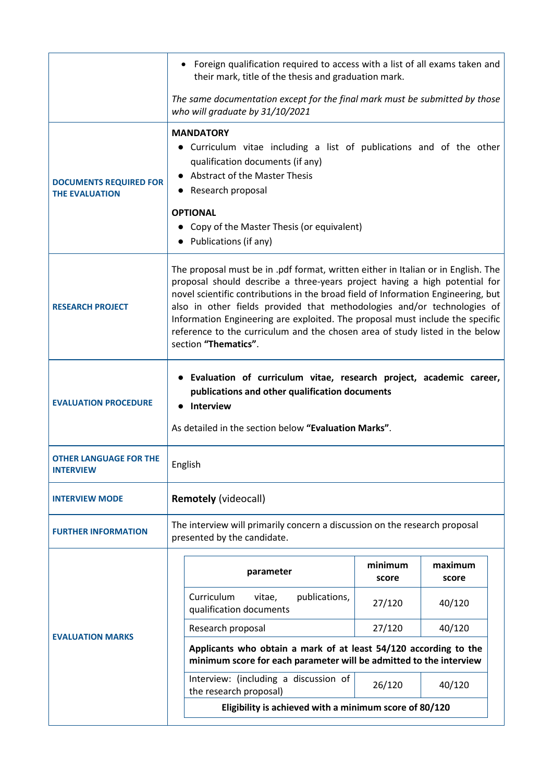|                                                        | Foreign qualification required to access with a list of all exams taken and<br>their mark, title of the thesis and graduation mark.                                                                                                                                                                                                                                                                                                                                                                                      |                  |                  |  |
|--------------------------------------------------------|--------------------------------------------------------------------------------------------------------------------------------------------------------------------------------------------------------------------------------------------------------------------------------------------------------------------------------------------------------------------------------------------------------------------------------------------------------------------------------------------------------------------------|------------------|------------------|--|
|                                                        | The same documentation except for the final mark must be submitted by those<br>who will graduate by 31/10/2021                                                                                                                                                                                                                                                                                                                                                                                                           |                  |                  |  |
| <b>DOCUMENTS REQUIRED FOR</b><br><b>THE EVALUATION</b> | <b>MANDATORY</b><br>• Curriculum vitae including a list of publications and of the other<br>qualification documents (if any)<br><b>Abstract of the Master Thesis</b><br>Research proposal<br>$\bullet$<br><b>OPTIONAL</b><br>Copy of the Master Thesis (or equivalent)<br>Publications (if any)                                                                                                                                                                                                                          |                  |                  |  |
| <b>RESEARCH PROJECT</b>                                | The proposal must be in .pdf format, written either in Italian or in English. The<br>proposal should describe a three-years project having a high potential for<br>novel scientific contributions in the broad field of Information Engineering, but<br>also in other fields provided that methodologies and/or technologies of<br>Information Engineering are exploited. The proposal must include the specific<br>reference to the curriculum and the chosen area of study listed in the below<br>section "Thematics". |                  |                  |  |
| <b>EVALUATION PROCEDURE</b>                            | Evaluation of curriculum vitae, research project, academic career,<br>$\bullet$<br>publications and other qualification documents<br><b>Interview</b><br>As detailed in the section below "Evaluation Marks".                                                                                                                                                                                                                                                                                                            |                  |                  |  |
| <b>OTHER LANGUAGE FOR THE</b><br><b>INTERVIEW</b>      | English                                                                                                                                                                                                                                                                                                                                                                                                                                                                                                                  |                  |                  |  |
| <b>INTERVIEW MODE</b>                                  | <b>Remotely (videocall)</b>                                                                                                                                                                                                                                                                                                                                                                                                                                                                                              |                  |                  |  |
| <b>FURTHER INFORMATION</b>                             | The interview will primarily concern a discussion on the research proposal<br>presented by the candidate.                                                                                                                                                                                                                                                                                                                                                                                                                |                  |                  |  |
| <b>EVALUATION MARKS</b>                                | parameter                                                                                                                                                                                                                                                                                                                                                                                                                                                                                                                | minimum<br>score | maximum<br>score |  |
|                                                        | Curriculum<br>publications,<br>vitae,<br>qualification documents                                                                                                                                                                                                                                                                                                                                                                                                                                                         | 27/120           | 40/120           |  |
|                                                        | Research proposal                                                                                                                                                                                                                                                                                                                                                                                                                                                                                                        | 27/120           | 40/120           |  |
|                                                        | Applicants who obtain a mark of at least 54/120 according to the<br>minimum score for each parameter will be admitted to the interview                                                                                                                                                                                                                                                                                                                                                                                   |                  |                  |  |
|                                                        | Interview: (including a discussion of<br>the research proposal)                                                                                                                                                                                                                                                                                                                                                                                                                                                          | 26/120           | 40/120           |  |
|                                                        | Eligibility is achieved with a minimum score of 80/120                                                                                                                                                                                                                                                                                                                                                                                                                                                                   |                  |                  |  |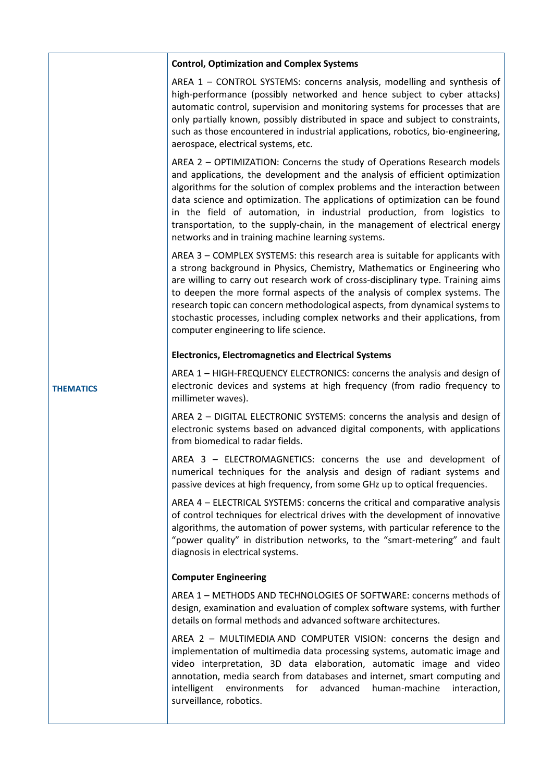|                  | <b>Control, Optimization and Complex Systems</b>                                                                                                                                                                                                                                                                                                                                                                                                                                                                                       |
|------------------|----------------------------------------------------------------------------------------------------------------------------------------------------------------------------------------------------------------------------------------------------------------------------------------------------------------------------------------------------------------------------------------------------------------------------------------------------------------------------------------------------------------------------------------|
|                  | AREA 1 - CONTROL SYSTEMS: concerns analysis, modelling and synthesis of<br>high-performance (possibly networked and hence subject to cyber attacks)<br>automatic control, supervision and monitoring systems for processes that are<br>only partially known, possibly distributed in space and subject to constraints,<br>such as those encountered in industrial applications, robotics, bio-engineering,<br>aerospace, electrical systems, etc.                                                                                      |
|                  | AREA 2 - OPTIMIZATION: Concerns the study of Operations Research models<br>and applications, the development and the analysis of efficient optimization<br>algorithms for the solution of complex problems and the interaction between<br>data science and optimization. The applications of optimization can be found<br>in the field of automation, in industrial production, from logistics to<br>transportation, to the supply-chain, in the management of electrical energy<br>networks and in training machine learning systems. |
|                  | AREA 3 - COMPLEX SYSTEMS: this research area is suitable for applicants with<br>a strong background in Physics, Chemistry, Mathematics or Engineering who<br>are willing to carry out research work of cross-disciplinary type. Training aims<br>to deepen the more formal aspects of the analysis of complex systems. The<br>research topic can concern methodological aspects, from dynamical systems to<br>stochastic processes, including complex networks and their applications, from<br>computer engineering to life science.   |
|                  | <b>Electronics, Electromagnetics and Electrical Systems</b>                                                                                                                                                                                                                                                                                                                                                                                                                                                                            |
| <b>THEMATICS</b> | AREA 1 - HIGH-FREQUENCY ELECTRONICS: concerns the analysis and design of<br>electronic devices and systems at high frequency (from radio frequency to<br>millimeter waves).                                                                                                                                                                                                                                                                                                                                                            |
|                  | AREA 2 - DIGITAL ELECTRONIC SYSTEMS: concerns the analysis and design of<br>electronic systems based on advanced digital components, with applications<br>from biomedical to radar fields.                                                                                                                                                                                                                                                                                                                                             |
|                  | AREA 3 - ELECTROMAGNETICS: concerns the use and development of<br>numerical techniques for the analysis and design of radiant systems and<br>passive devices at high frequency, from some GHz up to optical frequencies.                                                                                                                                                                                                                                                                                                               |
|                  | AREA 4 – ELECTRICAL SYSTEMS: concerns the critical and comparative analysis<br>of control techniques for electrical drives with the development of innovative<br>algorithms, the automation of power systems, with particular reference to the<br>"power quality" in distribution networks, to the "smart-metering" and fault<br>diagnosis in electrical systems.                                                                                                                                                                      |
|                  | <b>Computer Engineering</b>                                                                                                                                                                                                                                                                                                                                                                                                                                                                                                            |
|                  | AREA 1 - METHODS AND TECHNOLOGIES OF SOFTWARE: concerns methods of<br>design, examination and evaluation of complex software systems, with further<br>details on formal methods and advanced software architectures.                                                                                                                                                                                                                                                                                                                   |
|                  | AREA 2 - MULTIMEDIA AND COMPUTER VISION: concerns the design and<br>implementation of multimedia data processing systems, automatic image and<br>video interpretation, 3D data elaboration, automatic image and video<br>annotation, media search from databases and internet, smart computing and<br>advanced<br>intelligent<br>environments<br>for<br>human-machine<br>interaction,<br>surveillance, robotics.                                                                                                                       |